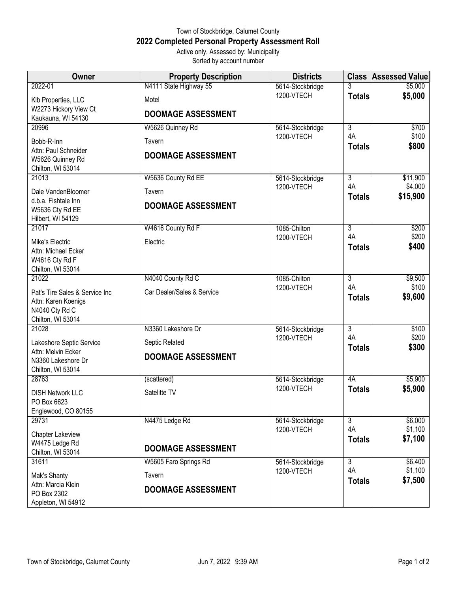## Town of Stockbridge, Calumet County **2022 Completed Personal Property Assessment Roll** Active only, Assessed by: Municipality

Sorted by account number

| Owner                                                                | <b>Property Description</b> | <b>Districts</b>               | <b>Class</b>        | <b>Assessed Value</b> |
|----------------------------------------------------------------------|-----------------------------|--------------------------------|---------------------|-----------------------|
| 2022-01                                                              | N4111 State Highway 55      | 5614-Stockbridge               | 3                   | \$5,000               |
| Klb Properties, LLC                                                  | Motel                       | 1200-VTECH                     | <b>Totals</b>       | \$5,000               |
| W2273 Hickory View Ct<br>Kaukauna, WI 54130                          | <b>DOOMAGE ASSESSMENT</b>   |                                |                     |                       |
| 20996                                                                | W5626 Quinney Rd            | 5614-Stockbridge               | 3                   | \$700                 |
| Bobb-R-Inn                                                           | Tavern                      | 1200-VTECH                     | 4A<br><b>Totals</b> | \$100<br>\$800        |
| Attn: Paul Schneider<br>W5626 Quinney Rd<br>Chilton, WI 53014        | <b>DOOMAGE ASSESSMENT</b>   |                                |                     |                       |
| 21013                                                                | W5636 County Rd EE          | 5614-Stockbridge               | 3                   | \$11,900              |
| Dale VandenBloomer                                                   | Tavern                      | 1200-VTECH                     | 4A                  | \$4,000               |
| d.b.a. Fishtale Inn<br>W5636 Cty Rd EE<br>Hilbert, WI 54129          | <b>DOOMAGE ASSESSMENT</b>   |                                | <b>Totals</b>       | \$15,900              |
| 21017                                                                | W4616 County Rd F           | 1085-Chilton                   | $\overline{3}$      | \$200                 |
| Mike's Electric                                                      | Electric                    | 1200-VTECH                     | 4A<br><b>Totals</b> | \$200<br>\$400        |
| Attn: Michael Ecker                                                  |                             |                                |                     |                       |
| W4616 Cty Rd F<br>Chilton, WI 53014                                  |                             |                                |                     |                       |
| 21022                                                                | N4040 County Rd C           | 1085-Chilton<br>1200-VTECH     | $\overline{3}$      | \$9,500               |
| Pat's Tire Sales & Service Inc<br>Attn: Karen Koenigs                | Car Dealer/Sales & Service  |                                | 4A<br><b>Totals</b> | \$100<br>\$9,600      |
| N4040 Cty Rd C                                                       |                             |                                |                     |                       |
| Chilton, WI 53014                                                    |                             |                                |                     |                       |
| 21028                                                                | N3360 Lakeshore Dr          | 5614-Stockbridge<br>1200-VTECH | 3<br>4A             | \$100<br>\$200        |
| Lakeshore Septic Service<br>Attn: Melvin Ecker<br>N3360 Lakeshore Dr | Septic Related              |                                | <b>Totals</b>       | \$300                 |
|                                                                      | <b>DOOMAGE ASSESSMENT</b>   |                                |                     |                       |
| Chilton, WI 53014<br>28763                                           | (scattered)                 | 5614-Stockbridge               | 4A                  | \$5,900               |
| <b>DISH Network LLC</b>                                              | Satelitte TV                | 1200-VTECH                     | <b>Totals</b>       | \$5,900               |
| PO Box 6623                                                          |                             |                                |                     |                       |
| Englewood, CO 80155                                                  |                             |                                |                     |                       |
| 29731                                                                | N4475 Ledge Rd              | 5614-Stockbridge               | 3<br>4A             | \$6,000<br>\$1,100    |
| Chapter Lakeview                                                     |                             | 1200-VTECH                     | <b>Totals</b>       | \$7,100               |
| W4475 Ledge Rd<br>Chilton, WI 53014                                  | <b>DOOMAGE ASSESSMENT</b>   |                                |                     |                       |
| 31611                                                                | W5605 Faro Springs Rd       | 5614-Stockbridge               | $\overline{3}$      | \$6,400               |
| Mak's Shanty                                                         | Tavern                      | 1200-VTECH                     | 4A                  | \$1,100               |
| Attn: Marcia Klein                                                   | <b>DOOMAGE ASSESSMENT</b>   |                                | <b>Totals</b>       | \$7,500               |
| PO Box 2302<br>Appleton, WI 54912                                    |                             |                                |                     |                       |